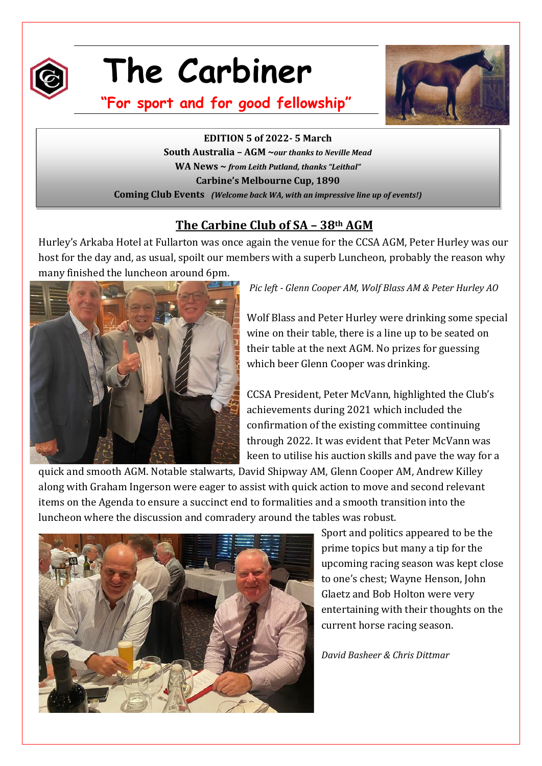

# **The Carbiner**



**"For sport and for good fellowship"**

**EDITION 5** of 2022-5 March **South Australia – AGM ~***our thanks to Neville Mead* **WA News ~** *from Leith Putland, thanks "Leithal"* **Carbine's Melbourne Cup, 1890 Coming Club Events** *(Welcome back WA, with an impressive line up of events!)*

# **The Carbine Club of SA – 38th AGM**

Hurley's Arkaba Hotel at Fullarton was once again the venue for the CCSA AGM, Peter Hurley was our host for the day and, as usual, spoilt our members with a superb Luncheon, probably the reason why many finished the luncheon around 6pm.



*Pic left - Glenn Cooper AM, Wolf Blass AM & Peter Hurley AO*

Wolf Blass and Peter Hurley were drinking some special wine on their table, there is a line up to be seated on their table at the next AGM. No prizes for guessing which beer Glenn Cooper was drinking.

CCSA President, Peter McVann, highlighted the Club's achievements during 2021 which included the confirmation of the existing committee continuing through 2022. It was evident that Peter McVann was keen to utilise his auction skills and pave the way for a

quick and smooth AGM. Notable stalwarts, David Shipway AM, Glenn Cooper AM, Andrew Killey along with Graham Ingerson were eager to assist with quick action to move and second relevant items on the Agenda to ensure a succinct end to formalities and a smooth transition into the luncheon where the discussion and comradery around the tables was robust.



Sport and politics appeared to be the prime topics but many a tip for the upcoming racing season was kept close to one's chest; Wayne Henson, John Glaetz and Bob Holton were very entertaining with their thoughts on the current horse racing season.

#### *David Basheer & Chris Dittmar*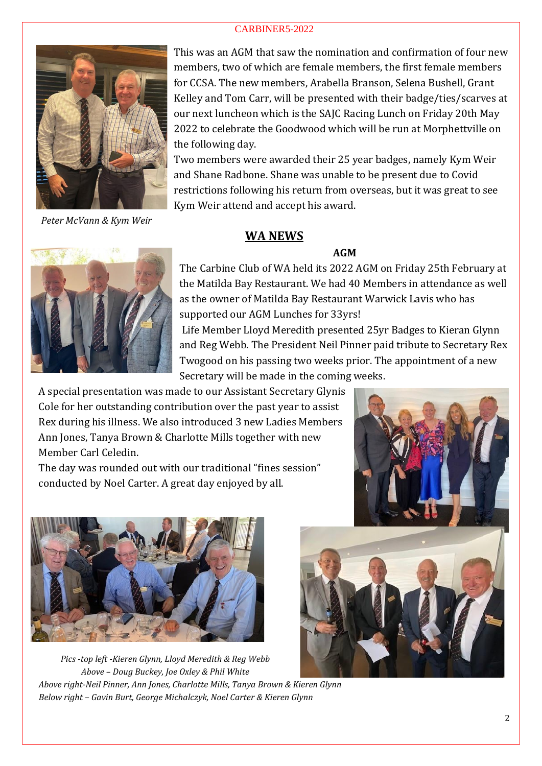

*Peter McVann & Kym Weir*

This was an AGM that saw the nomination and confirmation of four new members, two of which are female members, the first female members for CCSA. The new members, Arabella Branson, Selena Bushell, Grant Kelley and Tom Carr, will be presented with their badge/ties/scarves at our next luncheon which is the SAJC Racing Lunch on Friday 20th May 2022 to celebrate the Goodwood which will be run at Morphettville on the following day.

Two members were awarded their 25 year badges, namely Kym Weir and Shane Radbone. Shane was unable to be present due to Covid restrictions following his return from overseas, but it was great to see Kym Weir attend and accept his award.

# **WA NEWS**

# **AGM**



The Carbine Club of WA held its 2022 AGM on Friday 25th February at the Matilda Bay Restaurant. We had 40 Members in attendance as well as the owner of Matilda Bay Restaurant Warwick Lavis who has supported our AGM Lunches for 33yrs!

Life Member Lloyd Meredith presented 25yr Badges to Kieran Glynn and Reg Webb. The President Neil Pinner paid tribute to Secretary Rex Twogood on his passing two weeks prior. The appointment of a new Secretary will be made in the coming weeks.

A special presentation was made to our Assistant Secretary Glynis Cole for her outstanding contribution over the past year to assist Rex during his illness. We also introduced 3 new Ladies Members Ann Jones, Tanya Brown & Charlotte Mills together with new Member Carl Celedin.

The day was rounded out with our traditional "fines session" conducted by Noel Carter. A great day enjoyed by all.



*Pics -top left -Kieren Glynn, Lloyd Meredith & Reg Webb Above – Doug Buckey, Joe Oxley & Phil White Above right-Neil Pinner, Ann Jones, Charlotte Mills, Tanya Brown & Kieren Glynn Below right – Gavin Burt, George Michalczyk, Noel Carter & Kieren Glynn*

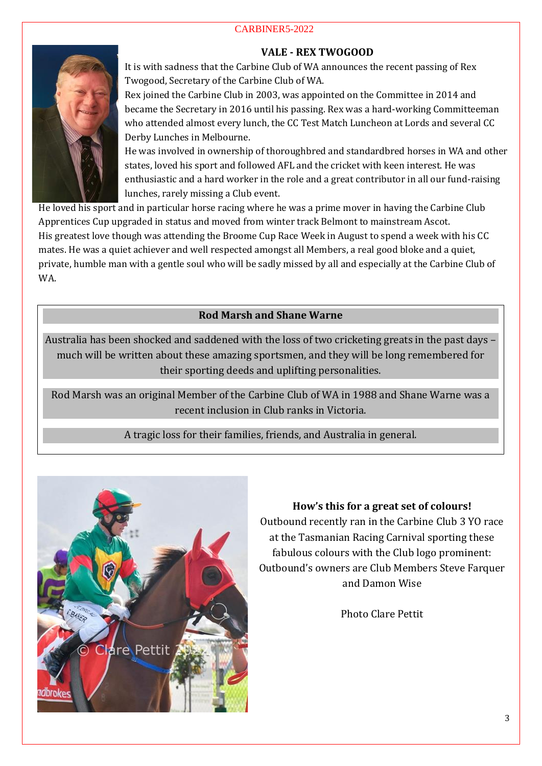# **VALE - REX TWOGOOD**



It is with sadness that the Carbine Club of WA announces the recent passing of Rex Twogood, Secretary of the Carbine Club of WA.

Rex joined the Carbine Club in 2003, was appointed on the Committee in 2014 and became the Secretary in 2016 until his passing. Rex was a hard-working Committeeman who attended almost every lunch, the CC Test Match Luncheon at Lords and several CC Derby Lunches in Melbourne.

He was involved in ownership of thoroughbred and standardbred horses in WA and other states, loved his sport and followed AFL and the cricket with keen interest. He was enthusiastic and a hard worker in the role and a great contributor in all our fund-raising lunches, rarely missing a Club event.

He loved his sport and in particular horse racing where he was a prime mover in having the Carbine Club Apprentices Cup upgraded in status and moved from winter track Belmont to mainstream Ascot. His greatest love though was attending the Broome Cup Race Week in August to spend a week with his CC mates. He was a quiet achiever and well respected amongst all Members, a real good bloke and a quiet, private, humble man with a gentle soul who will be sadly missed by all and especially at the Carbine Club of WA.

# **Rod Marsh and Shane Warne**

Australia has been shocked and saddened with the loss of two cricketing greats in the past days – much will be written about these amazing sportsmen, and they will be long remembered for their sporting deeds and uplifting personalities.

Rod Marsh was an original Member of the Carbine Club of WA in 1988 and Shane Warne was a recent inclusion in Club ranks in Victoria.

A tragic loss for their families, friends, and Australia in general.



# **How's this for a great set of colours!**

Outbound recently ran in the Carbine Club 3 YO race at the Tasmanian Racing Carnival sporting these fabulous colours with the Club logo prominent: Outbound's owners are Club Members Steve Farquer and Damon Wise

Photo Clare Pettit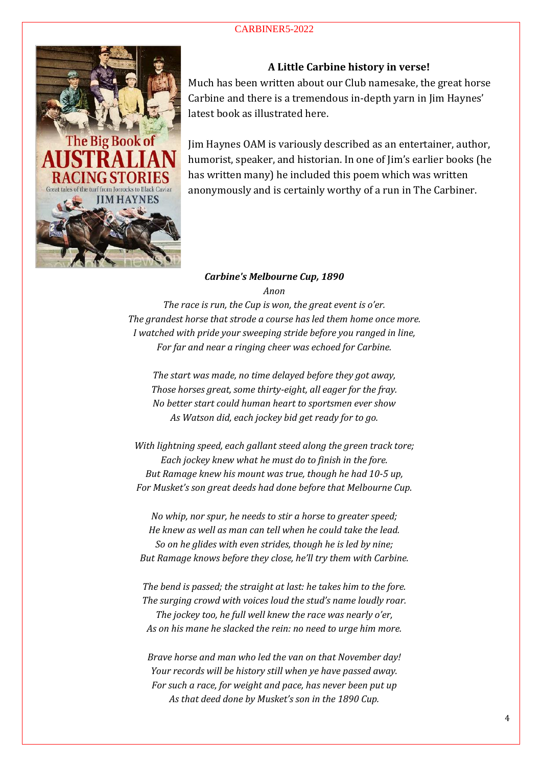

### **A Little Carbine history in verse!**

Much has been written about our Club namesake, the great horse Carbine and there is a tremendous in-depth yarn in Jim Haynes' latest book as illustrated here.

Jim Haynes OAM is variously described as an entertainer, author, humorist, speaker, and historian. In one of Jim's earlier books (he has written many) he included this poem which was written anonymously and is certainly worthy of a run in The Carbiner.

#### *Carbine's Melbourne Cup, 1890 Anon*

*The race is run, the Cup is won, the great event is o'er. The grandest horse that strode a course has led them home once more. I watched with pride your sweeping stride before you ranged in line, For far and near a ringing cheer was echoed for Carbine.*

*The start was made, no time delayed before they got away, Those horses great, some thirty-eight, all eager for the fray. No better start could human heart to sportsmen ever show As Watson did, each jockey bid get ready for to go.*

*With lightning speed, each gallant steed along the green track tore; Each jockey knew what he must do to finish in the fore. But Ramage knew his mount was true, though he had 10-5 up, For Musket's son great deeds had done before that Melbourne Cup.*

*No whip, nor spur, he needs to stir a horse to greater speed; He knew as well as man can tell when he could take the lead. So on he glides with even strides, though he is led by nine; But Ramage knows before they close, he'll try them with Carbine.*

*The bend is passed; the straight at last: he takes him to the fore. The surging crowd with voices loud the stud's name loudly roar. The jockey too, he full well knew the race was nearly o'er, As on his mane he slacked the rein: no need to urge him more.*

*Brave horse and man who led the van on that November day! Your records will be history still when ye have passed away. For such a race, for weight and pace, has never been put up As that deed done by Musket's son in the 1890 Cup.*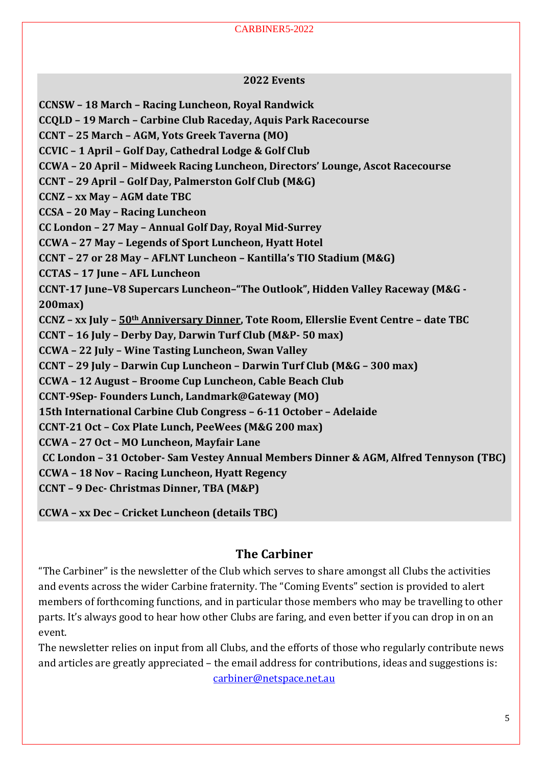#### **2022 Events**

**CCNSW – 18 March – Racing Luncheon, Royal Randwick**

**CCQLD – 19 March – Carbine Club Raceday, Aquis Park Racecourse** 

**CCNT – 25 March – AGM, Yots Greek Taverna (MO)**

**CCVIC – 1 April – Golf Day, Cathedral Lodge & Golf Club**

**CCWA – 20 April – Midweek Racing Luncheon, Directors' Lounge, Ascot Racecourse**

**CCNT – 29 April – Golf Day, Palmerston Golf Club (M&G)**

**CCNZ – xx May – AGM date TBC**

**CCSA – 20 May – Racing Luncheon**

**CC London – 27 May – Annual Golf Day, Royal Mid-Surrey**

**CCWA – 27 May – Legends of Sport Luncheon, Hyatt Hotel**

**CCNT – 27 or 28 May – AFLNT Luncheon – Kantilla's TIO Stadium (M&G)**

**CCTAS – 17 June – AFL Luncheon**

**CCNT-17 June–V8 Supercars Luncheon–"The Outlook", Hidden Valley Raceway (M&G - 200max)**

**CCNZ – xx July – 50th Anniversary Dinner, Tote Room, Ellerslie Event Centre – date TBC**

**CCNT – 16 July – Derby Day, Darwin Turf Club (M&P- 50 max)**

**CCWA – 22 July – Wine Tasting Luncheon, Swan Valley**

**CCNT – 29 July – Darwin Cup Luncheon – Darwin Turf Club (M&G – 300 max)**

**CCWA – 12 August – Broome Cup Luncheon, Cable Beach Club**

**CCNT-9Sep- Founders Lunch, Landmark@Gateway (MO)**

**15th International Carbine Club Congress – 6-11 October – Adelaide**

**CCNT-21 Oct – Cox Plate Lunch, PeeWees (M&G 200 max)**

**CCWA – 27 Oct – MO Luncheon, Mayfair Lane**

**CC London – 31 October- Sam Vestey Annual Members Dinner & AGM, Alfred Tennyson (TBC)**

**CCWA – 18 Nov – Racing Luncheon, Hyatt Regency**

**CCNT – 9 Dec- Christmas Dinner, TBA (M&P)**

**CCWA – xx Dec – Cricket Luncheon (details TBC)**

# **The Carbiner**

"The Carbiner" is the newsletter of the Club which serves to share amongst all Clubs the activities and events across the wider Carbine fraternity. The "Coming Events" section is provided to alert members of forthcoming functions, and in particular those members who may be travelling to other parts. It's always good to hear how other Clubs are faring, and even better if you can drop in on an event.

The newsletter relies on input from all Clubs, and the efforts of those who regularly contribute news and articles are greatly appreciated – the email address for contributions, ideas and suggestions is: [carbiner@netspace.net.au](mailto:carbiner@netspace.net.au)